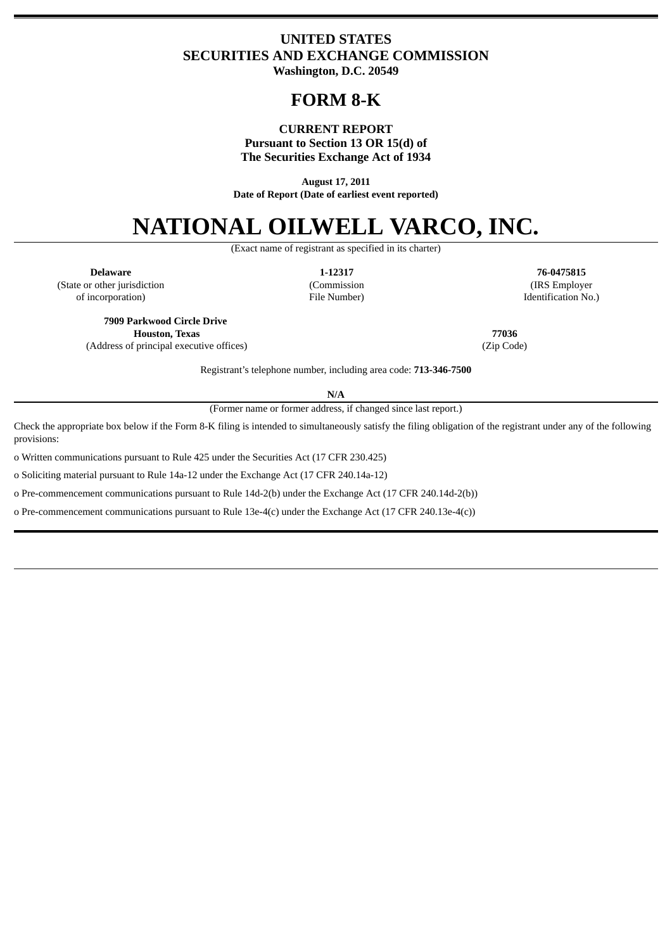# **UNITED STATES SECURITIES AND EXCHANGE COMMISSION Washington, D.C. 20549**

# **FORM 8-K**

# **CURRENT REPORT**

**Pursuant to Section 13 OR 15(d) of**

**The Securities Exchange Act of 1934**

**August 17, 2011 Date of Report (Date of earliest event reported)**

# **NATIONAL OILWELL VARCO, INC.**

(Exact name of registrant as specified in its charter)

**Delaware 1-12317 76-0475815** (State or other jurisdiction (Commission (IRS Employer of incorporation) File Number) Identification No.)

**7909 Parkwood Circle Drive Houston, Texas 77036** (Address of principal executive offices) (Zip Code)

Registrant's telephone number, including area code: **713-346-7500**

**N/A**

(Former name or former address, if changed since last report.)

Check the appropriate box below if the Form 8-K filing is intended to simultaneously satisfy the filing obligation of the registrant under any of the following provisions:

o Written communications pursuant to Rule 425 under the Securities Act (17 CFR 230.425)

o Soliciting material pursuant to Rule 14a-12 under the Exchange Act (17 CFR 240.14a-12)

o Pre-commencement communications pursuant to Rule 14d-2(b) under the Exchange Act (17 CFR 240.14d-2(b))

o Pre-commencement communications pursuant to Rule 13e-4(c) under the Exchange Act (17 CFR 240.13e-4(c))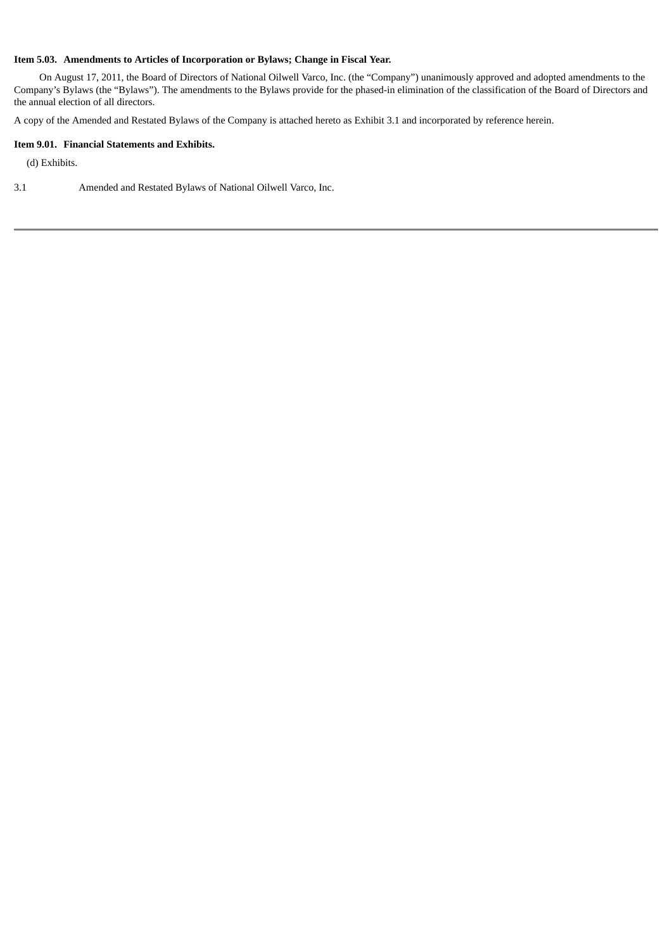# **Item 5.03. Amendments to Articles of Incorporation or Bylaws; Change in Fiscal Year.**

On August 17, 2011, the Board of Directors of National Oilwell Varco, Inc. (the "Company") unanimously approved and adopted amendments to the Company's Bylaws (the "Bylaws"). The amendments to the Bylaws provide for the phased-in elimination of the classification of the Board of Directors and the annual election of all directors.

A copy of the Amended and Restated Bylaws of the Company is attached hereto as Exhibit 3.1 and incorporated by reference herein.

#### **Item 9.01. Financial Statements and Exhibits.**

(d) Exhibits.

3.1 Amended and Restated Bylaws of National Oilwell Varco, Inc.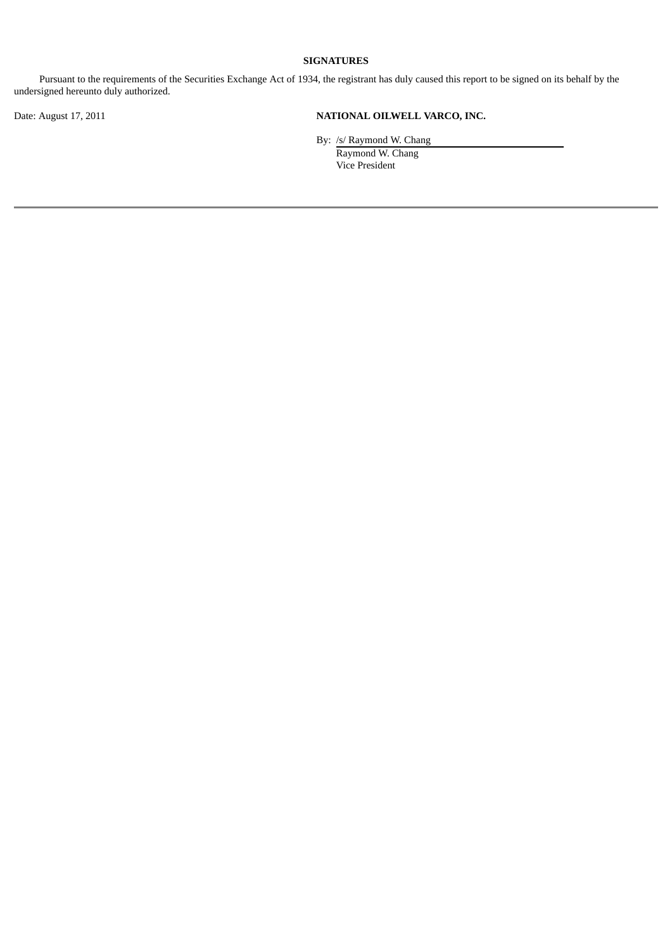# **SIGNATURES**

Pursuant to the requirements of the Securities Exchange Act of 1934, the registrant has duly caused this report to be signed on its behalf by the undersigned hereunto duly authorized.

# Date: August 17, 2011 **NATIONAL OILWELL VARCO, INC.**

By: /s/ Raymond W. Chang Raymond W. Chang Vice President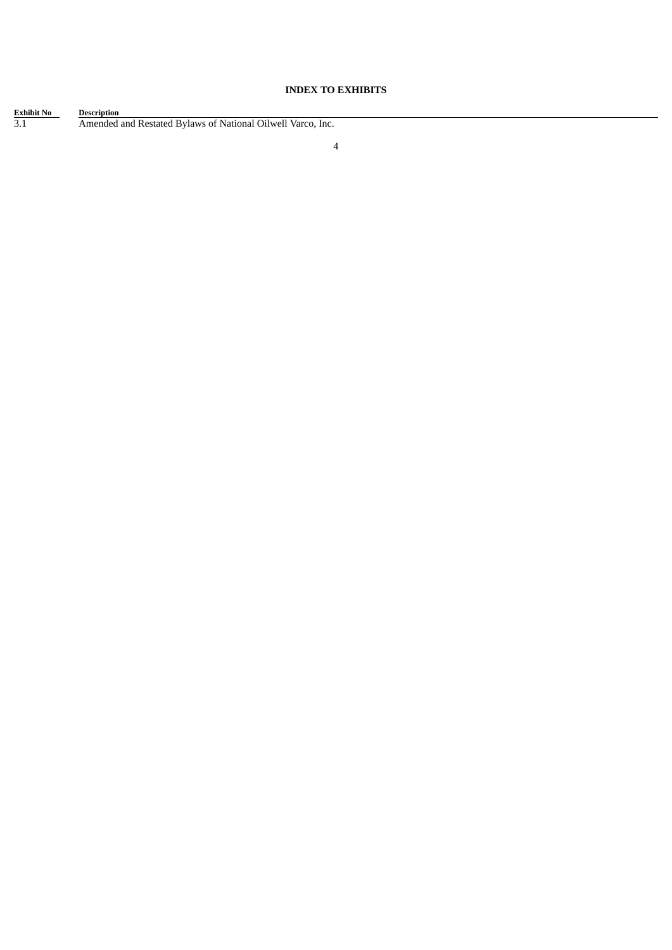# **INDEX TO EXHIBITS**

| <b>Exhibit No</b> | <b>Description</b>                                          |
|-------------------|-------------------------------------------------------------|
| 3.1               | Amended and Restated Bylaws of National Oilwell Varco, Inc. |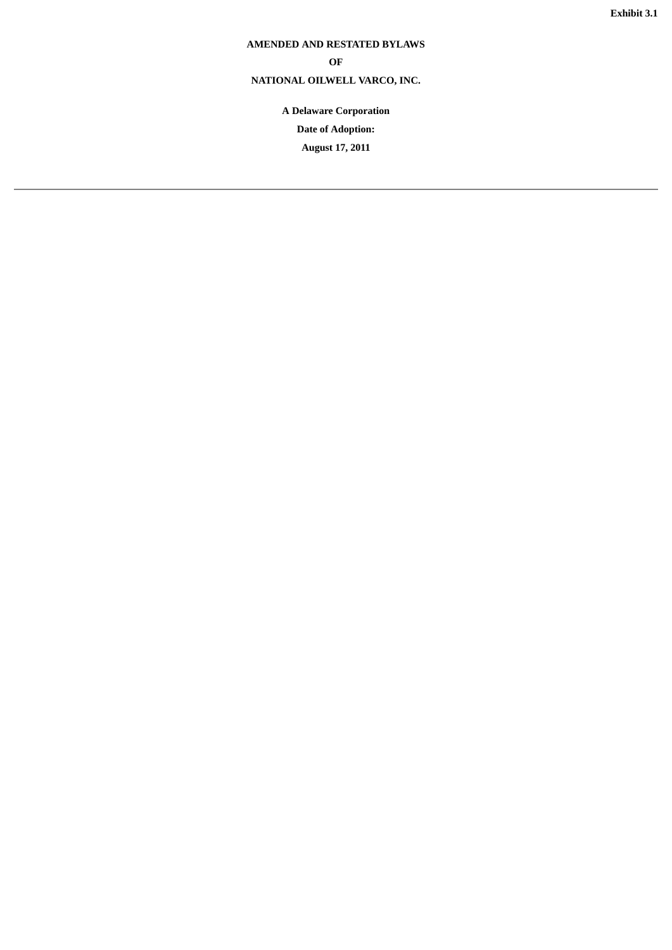# **AMENDED AND RESTATED BYLAWS**

# **OF**

# **NATIONAL OILWELL VARCO, INC.**

**A Delaware Corporation**

**Date of Adoption:**

**August 17, 2011**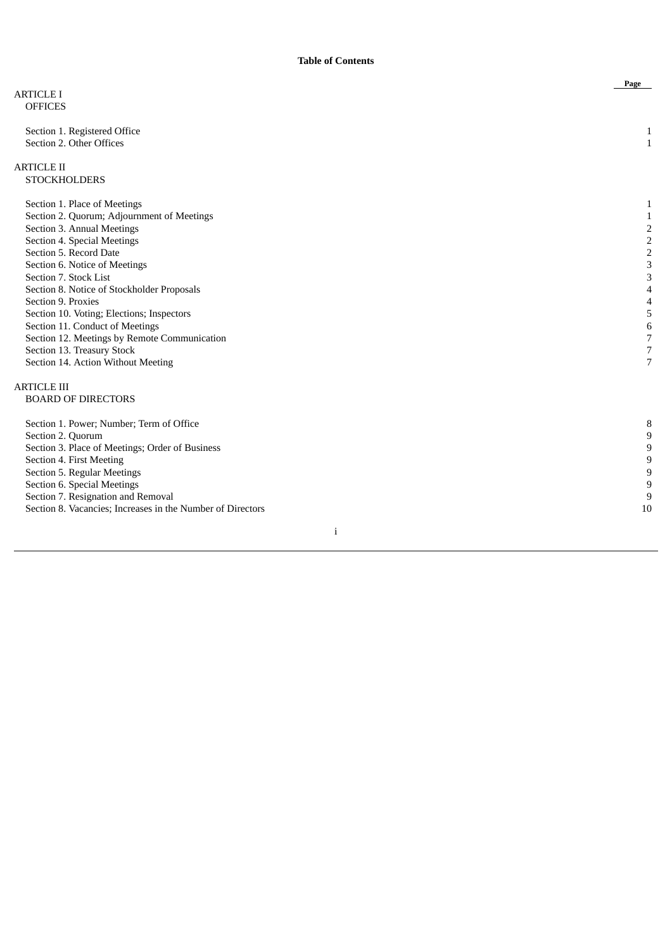|                                                            | Page                    |
|------------------------------------------------------------|-------------------------|
| <b>ARTICLE I</b>                                           |                         |
| <b>OFFICES</b>                                             |                         |
| Section 1. Registered Office                               | 1                       |
| Section 2. Other Offices                                   | $\mathbf{1}$            |
|                                                            |                         |
| <b>ARTICLE II</b>                                          |                         |
| <b>STOCKHOLDERS</b>                                        |                         |
| Section 1. Place of Meetings                               | 1                       |
| Section 2. Quorum; Adjournment of Meetings                 | 1                       |
| Section 3. Annual Meetings                                 | $\overline{\mathbf{c}}$ |
| Section 4. Special Meetings                                | $\overline{\mathbf{c}}$ |
| Section 5. Record Date                                     | $\overline{2}$          |
| Section 6. Notice of Meetings                              | 3                       |
| Section 7. Stock List                                      | 3                       |
| Section 8. Notice of Stockholder Proposals                 | 4                       |
| Section 9. Proxies                                         | 4                       |
| Section 10. Voting; Elections; Inspectors                  | 5                       |
| Section 11. Conduct of Meetings                            | $\,6\,$                 |
| Section 12. Meetings by Remote Communication               | $\overline{7}$          |
| Section 13. Treasury Stock                                 | 7                       |
| Section 14. Action Without Meeting                         | 7                       |
| <b>ARTICLE III</b>                                         |                         |
| <b>BOARD OF DIRECTORS</b>                                  |                         |
| Section 1. Power; Number; Term of Office                   | 8                       |
| Section 2. Quorum                                          | 9                       |
| Section 3. Place of Meetings; Order of Business            | 9                       |
| Section 4. First Meeting                                   | 9                       |
| Section 5. Regular Meetings                                | 9                       |
| Section 6. Special Meetings                                | 9                       |
| Section 7. Resignation and Removal                         | 9                       |
| Section 8. Vacancies; Increases in the Number of Directors | 10                      |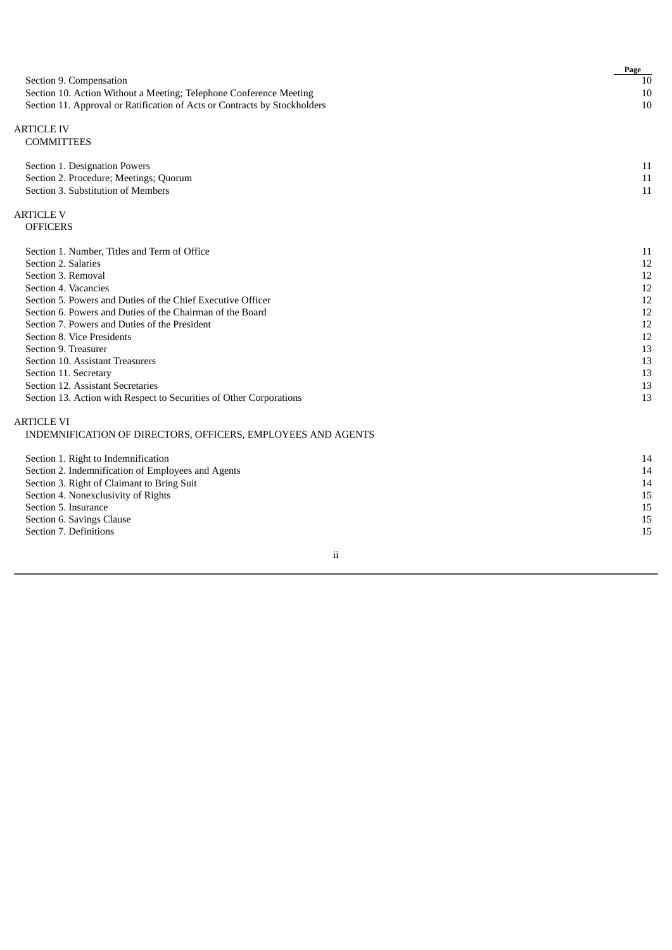|                                                                           | Page |
|---------------------------------------------------------------------------|------|
| Section 9. Compensation                                                   | 10   |
| Section 10. Action Without a Meeting; Telephone Conference Meeting        | 10   |
| Section 11. Approval or Ratification of Acts or Contracts by Stockholders | 10   |
| <b>ARTICLE IV</b>                                                         |      |
| <b>COMMITTEES</b>                                                         |      |
| Section 1. Designation Powers                                             | 11   |
| Section 2. Procedure; Meetings; Quorum                                    | 11   |
| Section 3. Substitution of Members                                        | 11   |
| <b>ARTICLE V</b>                                                          |      |
| <b>OFFICERS</b>                                                           |      |
| Section 1. Number, Titles and Term of Office                              | 11   |
| Section 2. Salaries                                                       | 12   |
| Section 3. Removal                                                        | 12   |
| Section 4. Vacancies                                                      | 12   |
| Section 5. Powers and Duties of the Chief Executive Officer               | 12   |
| Section 6. Powers and Duties of the Chairman of the Board                 | 12   |
| Section 7. Powers and Duties of the President                             | 12   |
| Section 8. Vice Presidents                                                | 12   |
| Section 9. Treasurer                                                      | 13   |
| Section 10. Assistant Treasurers                                          | 13   |
| Section 11. Secretary                                                     | 13   |
| Section 12. Assistant Secretaries                                         | 13   |
| Section 13. Action with Respect to Securities of Other Corporations       | 13   |
| <b>ARTICLE VI</b>                                                         |      |
| INDEMNIFICATION OF DIRECTORS, OFFICERS, EMPLOYEES AND AGENTS              |      |
| Section 1. Right to Indemnification                                       | 14   |
| Section 2. Indemnification of Employees and Agents                        | 14   |
| Section 3. Right of Claimant to Bring Suit                                | 14   |
| Section 4. Nonexclusivity of Rights                                       | 15   |
| Section 5. Insurance                                                      | 15   |
| Section 6. Savings Clause                                                 | 15   |
| Section 7. Definitions                                                    | 15   |
|                                                                           |      |

# ii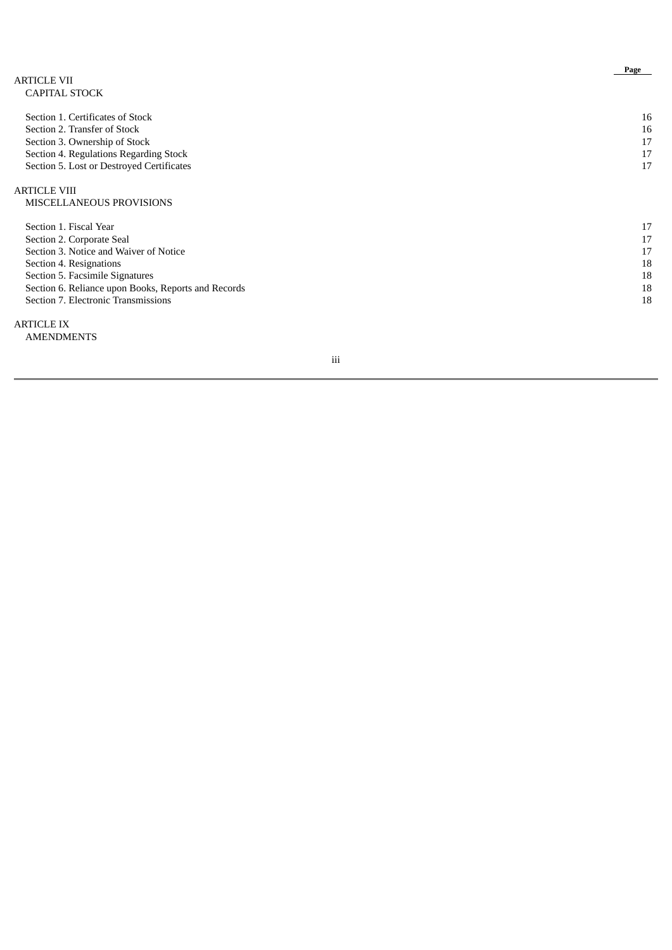| <b>ARTICLE VII</b>                                  | Page |
|-----------------------------------------------------|------|
| <b>CAPITAL STOCK</b>                                |      |
| Section 1. Certificates of Stock                    | 16   |
| Section 2. Transfer of Stock                        | 16   |
| Section 3. Ownership of Stock                       | 17   |
| Section 4. Regulations Regarding Stock              | 17   |
| Section 5. Lost or Destroyed Certificates           | 17   |
| <b>ARTICLE VIII</b>                                 |      |
| <b>MISCELLANEOUS PROVISIONS</b>                     |      |
| Section 1. Fiscal Year                              | 17   |
| Section 2. Corporate Seal                           | 17   |
| Section 3. Notice and Waiver of Notice              | 17   |
| Section 4. Resignations                             | 18   |
| Section 5. Facsimile Signatures                     | 18   |
| Section 6. Reliance upon Books, Reports and Records | 18   |
| Section 7. Electronic Transmissions                 | 18   |
|                                                     |      |

A RT I C L E I X

**AMENDMENTS** 

i i i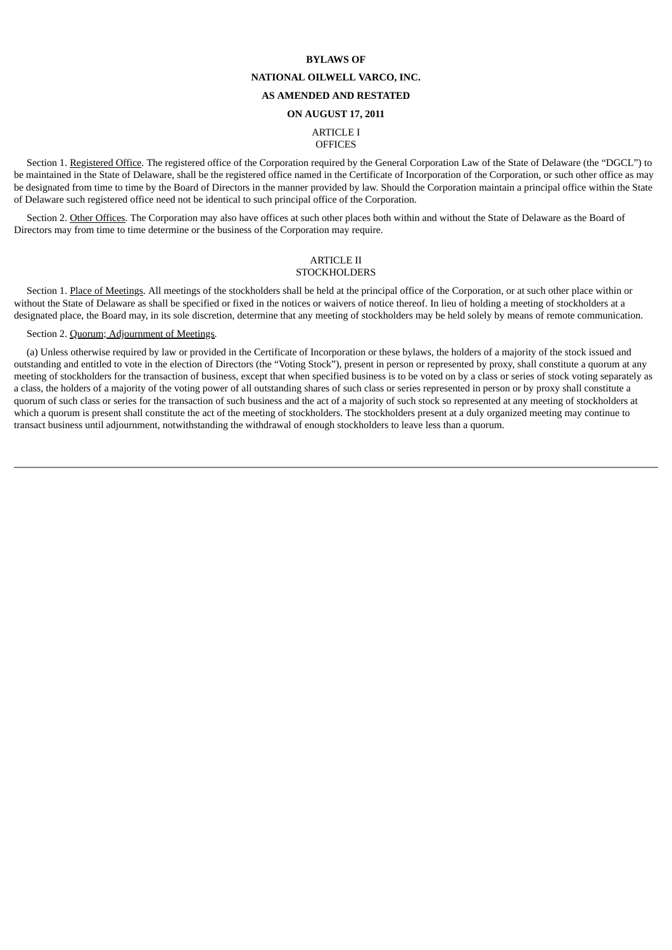#### **BYLAWS OF**

## **NATIONAL OILWELL VARCO, INC.**

# **AS AMENDED AND RESTATED**

#### **ON AUGUST 17, 2011**

# ARTICLE I **OFFICES**

Section 1. Registered Office. The registered office of the Corporation required by the General Corporation Law of the State of Delaware (the "DGCL") to be maintained in the State of Delaware, shall be the registered office named in the Certificate of Incorporation of the Corporation, or such other office as may be designated from time to time by the Board of Directors in the manner provided by law. Should the Corporation maintain a principal office within the State of Delaware such registered office need not be identical to such principal office of the Corporation.

Section 2. Other Offices. The Corporation may also have offices at such other places both within and without the State of Delaware as the Board of Directors may from time to time determine or the business of the Corporation may require.

#### ARTICLE II **STOCKHOLDERS**

Section 1. Place of Meetings. All meetings of the stockholders shall be held at the principal office of the Corporation, or at such other place within or without the State of Delaware as shall be specified or fixed in the notices or waivers of notice thereof. In lieu of holding a meeting of stockholders at a designated place, the Board may, in its sole discretion, determine that any meeting of stockholders may be held solely by means of remote communication.

Section 2. Quorum; Adjournment of Meetings.

(a) Unless otherwise required by law or provided in the Certificate of Incorporation or these bylaws, the holders of a majority of the stock issued and outstanding and entitled to vote in the election of Directors (the "Voting Stock"), present in person or represented by proxy, shall constitute a quorum at any meeting of stockholders for the transaction of business, except that when specified business is to be voted on by a class or series of stock voting separately as a class, the holders of a majority of the voting power of all outstanding shares of such class or series represented in person or by proxy shall constitute a quorum of such class or series for the transaction of such business and the act of a majority of such stock so represented at any meeting of stockholders at which a quorum is present shall constitute the act of the meeting of stockholders. The stockholders present at a duly organized meeting may continue to transact business until adjournment, notwithstanding the withdrawal of enough stockholders to leave less than a quorum.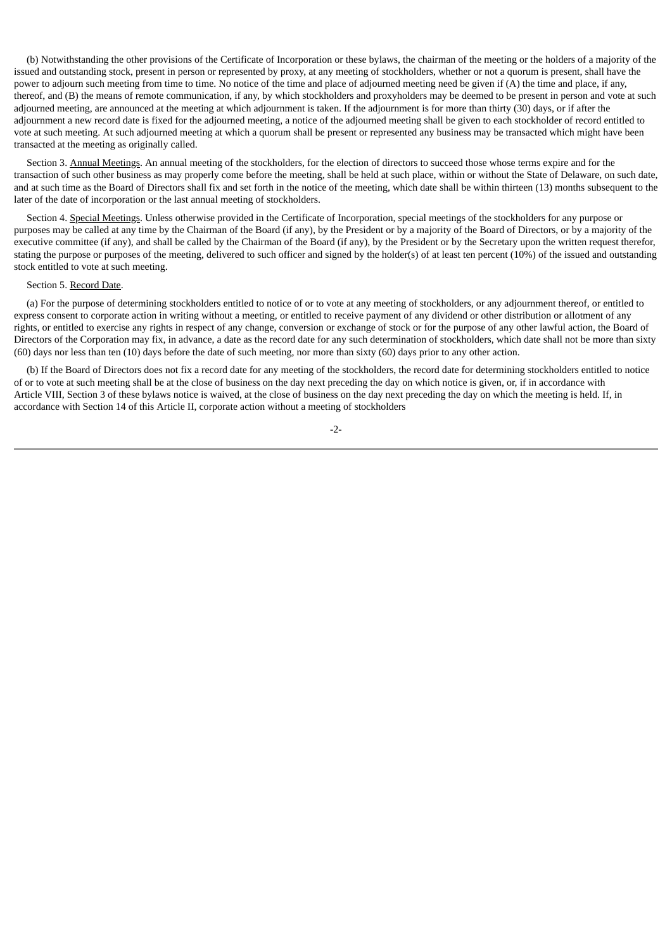(b) Notwithstanding the other provisions of the Certificate of Incorporation or these bylaws, the chairman of the meeting or the holders of a majority of the issued and outstanding stock, present in person or represented by proxy, at any meeting of stockholders, whether or not a quorum is present, shall have the power to adjourn such meeting from time to time. No notice of the time and place of adjourned meeting need be given if (A) the time and place, if any, thereof, and (B) the means of remote communication, if any, by which stockholders and proxyholders may be deemed to be present in person and vote at such adjourned meeting, are announced at the meeting at which adjournment is taken. If the adjournment is for more than thirty (30) days, or if after the adjournment a new record date is fixed for the adjourned meeting, a notice of the adjourned meeting shall be given to each stockholder of record entitled to vote at such meeting. At such adjourned meeting at which a quorum shall be present or represented any business may be transacted which might have been transacted at the meeting as originally called.

Section 3. Annual Meetings. An annual meeting of the stockholders, for the election of directors to succeed those whose terms expire and for the transaction of such other business as may properly come before the meeting, shall be held at such place, within or without the State of Delaware, on such date, and at such time as the Board of Directors shall fix and set forth in the notice of the meeting, which date shall be within thirteen (13) months subsequent to the later of the date of incorporation or the last annual meeting of stockholders.

Section 4. Special Meetings. Unless otherwise provided in the Certificate of Incorporation, special meetings of the stockholders for any purpose or purposes may be called at any time by the Chairman of the Board (if any), by the President or by a majority of the Board of Directors, or by a majority of the executive committee (if any), and shall be called by the Chairman of the Board (if any), by the President or by the Secretary upon the written request therefor, stating the purpose or purposes of the meeting, delivered to such officer and signed by the holder(s) of at least ten percent (10%) of the issued and outstanding stock entitled to vote at such meeting.

#### Section 5. Record Date.

(a) For the purpose of determining stockholders entitled to notice of or to vote at any meeting of stockholders, or any adjournment thereof, or entitled to express consent to corporate action in writing without a meeting, or entitled to receive payment of any dividend or other distribution or allotment of any rights, or entitled to exercise any rights in respect of any change, conversion or exchange of stock or for the purpose of any other lawful action, the Board of Directors of the Corporation may fix, in advance, a date as the record date for any such determination of stockholders, which date shall not be more than sixty (60) days nor less than ten (10) days before the date of such meeting, nor more than sixty (60) days prior to any other action.

(b) If the Board of Directors does not fix a record date for any meeting of the stockholders, the record date for determining stockholders entitled to notice of or to vote at such meeting shall be at the close of business on the day next preceding the day on which notice is given, or, if in accordance with Article VIII, Section 3 of these bylaws notice is waived, at the close of business on the day next preceding the day on which the meeting is held. If, in accordance with Section 14 of this Article II, corporate action without a meeting of stockholders

-2-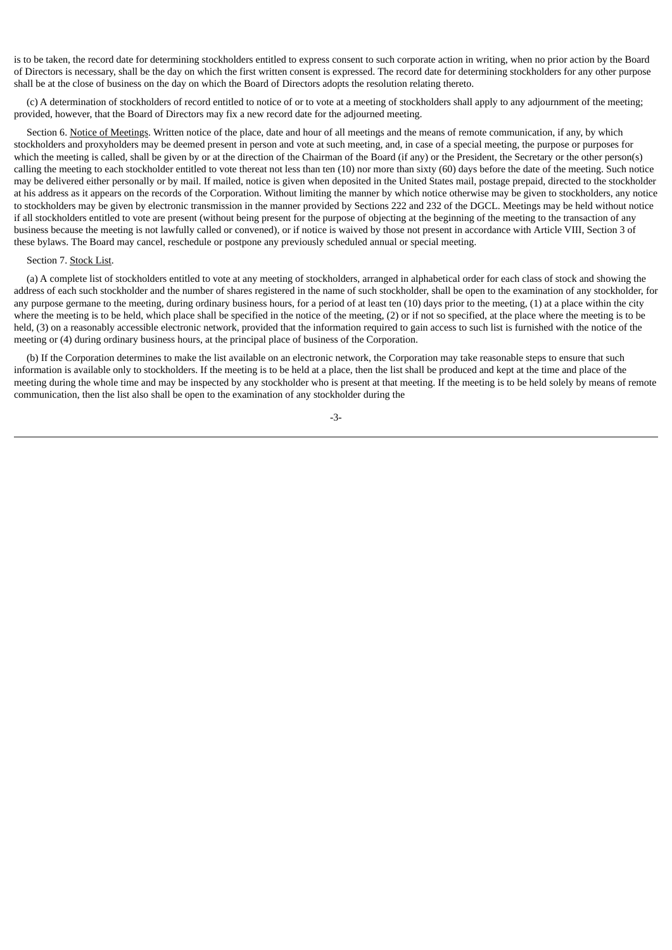is to be taken, the record date for determining stockholders entitled to express consent to such corporate action in writing, when no prior action by the Board of Directors is necessary, shall be the day on which the first written consent is expressed. The record date for determining stockholders for any other purpose shall be at the close of business on the day on which the Board of Directors adopts the resolution relating thereto.

(c) A determination of stockholders of record entitled to notice of or to vote at a meeting of stockholders shall apply to any adjournment of the meeting; provided, however, that the Board of Directors may fix a new record date for the adjourned meeting.

Section 6. Notice of Meetings. Written notice of the place, date and hour of all meetings and the means of remote communication, if any, by which stockholders and proxyholders may be deemed present in person and vote at such meeting, and, in case of a special meeting, the purpose or purposes for which the meeting is called, shall be given by or at the direction of the Chairman of the Board (if any) or the President, the Secretary or the other person(s) calling the meeting to each stockholder entitled to vote thereat not less than ten (10) nor more than sixty (60) days before the date of the meeting. Such notice may be delivered either personally or by mail. If mailed, notice is given when deposited in the United States mail, postage prepaid, directed to the stockholder at his address as it appears on the records of the Corporation. Without limiting the manner by which notice otherwise may be given to stockholders, any notice to stockholders may be given by electronic transmission in the manner provided by Sections 222 and 232 of the DGCL. Meetings may be held without notice if all stockholders entitled to vote are present (without being present for the purpose of objecting at the beginning of the meeting to the transaction of any business because the meeting is not lawfully called or convened), or if notice is waived by those not present in accordance with Article VIII, Section 3 of these bylaws. The Board may cancel, reschedule or postpone any previously scheduled annual or special meeting.

#### Section 7. Stock List.

(a) A complete list of stockholders entitled to vote at any meeting of stockholders, arranged in alphabetical order for each class of stock and showing the address of each such stockholder and the number of shares registered in the name of such stockholder, shall be open to the examination of any stockholder, for any purpose germane to the meeting, during ordinary business hours, for a period of at least ten (10) days prior to the meeting, (1) at a place within the city where the meeting is to be held, which place shall be specified in the notice of the meeting, (2) or if not so specified, at the place where the meeting is to be held, (3) on a reasonably accessible electronic network, provided that the information required to gain access to such list is furnished with the notice of the meeting or (4) during ordinary business hours, at the principal place of business of the Corporation.

(b) If the Corporation determines to make the list available on an electronic network, the Corporation may take reasonable steps to ensure that such information is available only to stockholders. If the meeting is to be held at a place, then the list shall be produced and kept at the time and place of the meeting during the whole time and may be inspected by any stockholder who is present at that meeting. If the meeting is to be held solely by means of remote communication, then the list also shall be open to the examination of any stockholder during the

-3-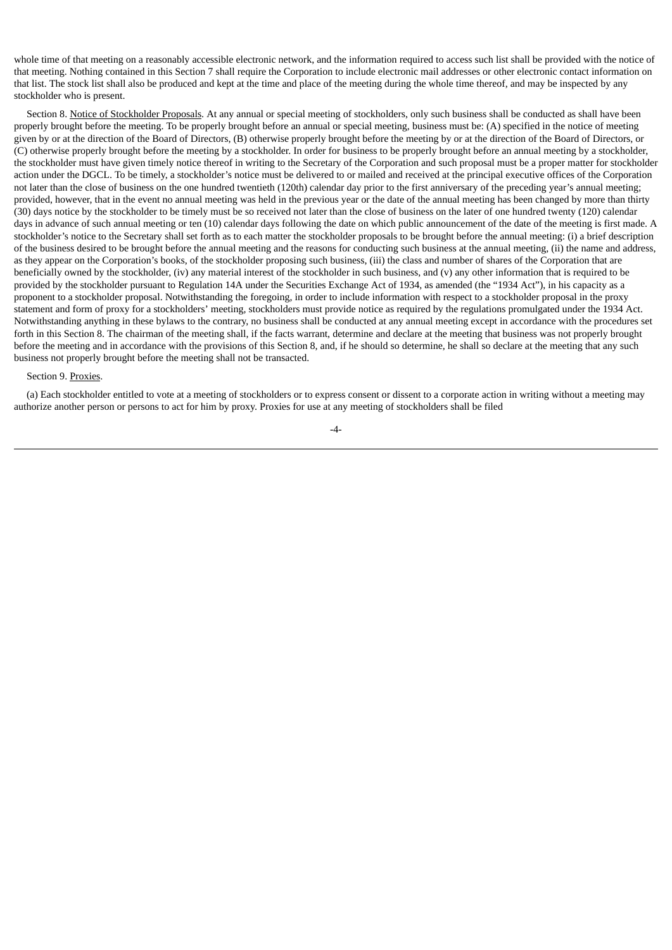whole time of that meeting on a reasonably accessible electronic network, and the information required to access such list shall be provided with the notice of that meeting. Nothing contained in this Section 7 shall require the Corporation to include electronic mail addresses or other electronic contact information on that list. The stock list shall also be produced and kept at the time and place of the meeting during the whole time thereof, and may be inspected by any stockholder who is present.

Section 8. Notice of Stockholder Proposals. At any annual or special meeting of stockholders, only such business shall be conducted as shall have been properly brought before the meeting. To be properly brought before an annual or special meeting, business must be: (A) specified in the notice of meeting given by or at the direction of the Board of Directors, (B) otherwise properly brought before the meeting by or at the direction of the Board of Directors, or (C) otherwise properly brought before the meeting by a stockholder. In order for business to be properly brought before an annual meeting by a stockholder, the stockholder must have given timely notice thereof in writing to the Secretary of the Corporation and such proposal must be a proper matter for stockholder action under the DGCL. To be timely, a stockholder's notice must be delivered to or mailed and received at the principal executive offices of the Corporation not later than the close of business on the one hundred twentieth (120th) calendar day prior to the first anniversary of the preceding year's annual meeting; provided, however, that in the event no annual meeting was held in the previous year or the date of the annual meeting has been changed by more than thirty (30) days notice by the stockholder to be timely must be so received not later than the close of business on the later of one hundred twenty (120) calendar days in advance of such annual meeting or ten (10) calendar days following the date on which public announcement of the date of the meeting is first made. A stockholder's notice to the Secretary shall set forth as to each matter the stockholder proposals to be brought before the annual meeting: (i) a brief description of the business desired to be brought before the annual meeting and the reasons for conducting such business at the annual meeting, (ii) the name and address, as they appear on the Corporation's books, of the stockholder proposing such business, (iii) the class and number of shares of the Corporation that are beneficially owned by the stockholder, (iv) any material interest of the stockholder in such business, and (v) any other information that is required to be provided by the stockholder pursuant to Regulation 14A under the Securities Exchange Act of 1934, as amended (the "1934 Act"), in his capacity as a proponent to a stockholder proposal. Notwithstanding the foregoing, in order to include information with respect to a stockholder proposal in the proxy statement and form of proxy for a stockholders' meeting, stockholders must provide notice as required by the regulations promulgated under the 1934 Act. Notwithstanding anything in these bylaws to the contrary, no business shall be conducted at any annual meeting except in accordance with the procedures set forth in this Section 8. The chairman of the meeting shall, if the facts warrant, determine and declare at the meeting that business was not properly brought before the meeting and in accordance with the provisions of this Section 8, and, if he should so determine, he shall so declare at the meeting that any such business not properly brought before the meeting shall not be transacted.

# Section 9. Proxies.

(a) Each stockholder entitled to vote at a meeting of stockholders or to express consent or dissent to a corporate action in writing without a meeting may authorize another person or persons to act for him by proxy. Proxies for use at any meeting of stockholders shall be filed

-4-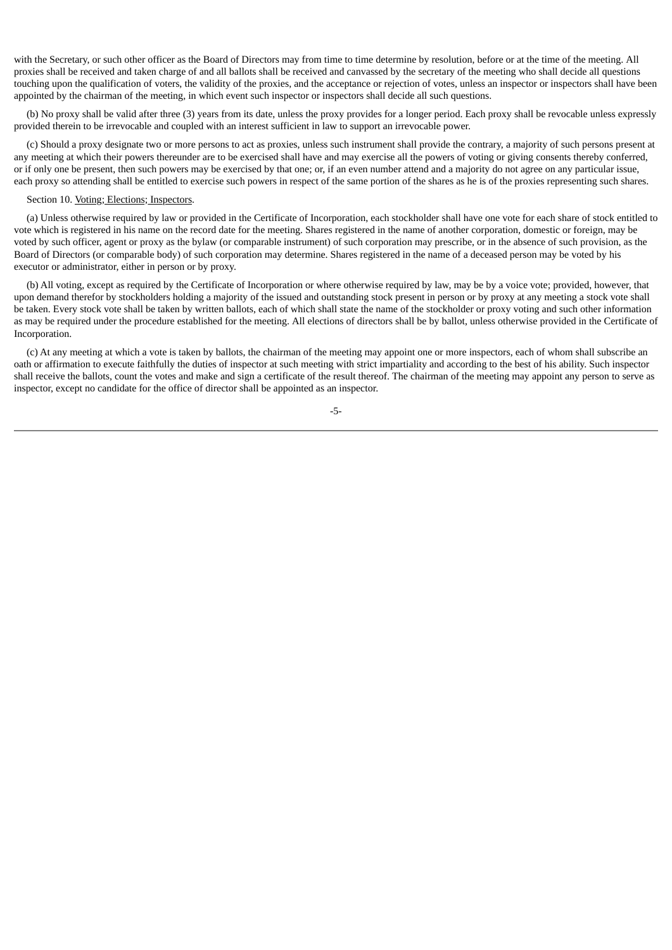with the Secretary, or such other officer as the Board of Directors may from time to time determine by resolution, before or at the time of the meeting. All proxies shall be received and taken charge of and all ballots shall be received and canvassed by the secretary of the meeting who shall decide all questions touching upon the qualification of voters, the validity of the proxies, and the acceptance or rejection of votes, unless an inspector or inspectors shall have been appointed by the chairman of the meeting, in which event such inspector or inspectors shall decide all such questions.

(b) No proxy shall be valid after three (3) years from its date, unless the proxy provides for a longer period. Each proxy shall be revocable unless expressly provided therein to be irrevocable and coupled with an interest sufficient in law to support an irrevocable power.

(c) Should a proxy designate two or more persons to act as proxies, unless such instrument shall provide the contrary, a majority of such persons present at any meeting at which their powers thereunder are to be exercised shall have and may exercise all the powers of voting or giving consents thereby conferred, or if only one be present, then such powers may be exercised by that one; or, if an even number attend and a majority do not agree on any particular issue, each proxy so attending shall be entitled to exercise such powers in respect of the same portion of the shares as he is of the proxies representing such shares.

#### Section 10. Voting; Elections; Inspectors.

(a) Unless otherwise required by law or provided in the Certificate of Incorporation, each stockholder shall have one vote for each share of stock entitled to vote which is registered in his name on the record date for the meeting. Shares registered in the name of another corporation, domestic or foreign, may be voted by such officer, agent or proxy as the bylaw (or comparable instrument) of such corporation may prescribe, or in the absence of such provision, as the Board of Directors (or comparable body) of such corporation may determine. Shares registered in the name of a deceased person may be voted by his executor or administrator, either in person or by proxy.

(b) All voting, except as required by the Certificate of Incorporation or where otherwise required by law, may be by a voice vote; provided, however, that upon demand therefor by stockholders holding a majority of the issued and outstanding stock present in person or by proxy at any meeting a stock vote shall be taken. Every stock vote shall be taken by written ballots, each of which shall state the name of the stockholder or proxy voting and such other information as may be required under the procedure established for the meeting. All elections of directors shall be by ballot, unless otherwise provided in the Certificate of Incorporation.

(c) At any meeting at which a vote is taken by ballots, the chairman of the meeting may appoint one or more inspectors, each of whom shall subscribe an oath or affirmation to execute faithfully the duties of inspector at such meeting with strict impartiality and according to the best of his ability. Such inspector shall receive the ballots, count the votes and make and sign a certificate of the result thereof. The chairman of the meeting may appoint any person to serve as inspector, except no candidate for the office of director shall be appointed as an inspector.

-5-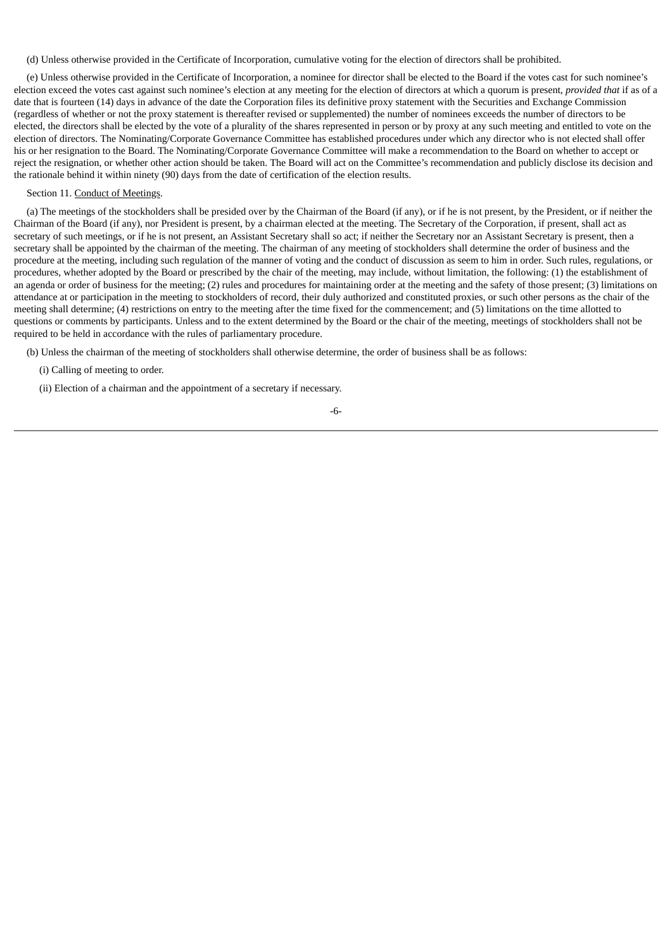(d) Unless otherwise provided in the Certificate of Incorporation, cumulative voting for the election of directors shall be prohibited.

(e) Unless otherwise provided in the Certificate of Incorporation, a nominee for director shall be elected to the Board if the votes cast for such nominee's election exceed the votes cast against such nominee's election at any meeting for the election of directors at which a quorum is present, *provided that* if as of a date that is fourteen (14) days in advance of the date the Corporation files its definitive proxy statement with the Securities and Exchange Commission (regardless of whether or not the proxy statement is thereafter revised or supplemented) the number of nominees exceeds the number of directors to be elected, the directors shall be elected by the vote of a plurality of the shares represented in person or by proxy at any such meeting and entitled to vote on the election of directors. The Nominating/Corporate Governance Committee has established procedures under which any director who is not elected shall offer his or her resignation to the Board. The Nominating/Corporate Governance Committee will make a recommendation to the Board on whether to accept or reject the resignation, or whether other action should be taken. The Board will act on the Committee's recommendation and publicly disclose its decision and the rationale behind it within ninety (90) days from the date of certification of the election results.

## Section 11. Conduct of Meetings.

(a) The meetings of the stockholders shall be presided over by the Chairman of the Board (if any), or if he is not present, by the President, or if neither the Chairman of the Board (if any), nor President is present, by a chairman elected at the meeting. The Secretary of the Corporation, if present, shall act as secretary of such meetings, or if he is not present, an Assistant Secretary shall so act; if neither the Secretary nor an Assistant Secretary is present, then a secretary shall be appointed by the chairman of the meeting. The chairman of any meeting of stockholders shall determine the order of business and the procedure at the meeting, including such regulation of the manner of voting and the conduct of discussion as seem to him in order. Such rules, regulations, or procedures, whether adopted by the Board or prescribed by the chair of the meeting, may include, without limitation, the following: (1) the establishment of an agenda or order of business for the meeting; (2) rules and procedures for maintaining order at the meeting and the safety of those present; (3) limitations on attendance at or participation in the meeting to stockholders of record, their duly authorized and constituted proxies, or such other persons as the chair of the meeting shall determine; (4) restrictions on entry to the meeting after the time fixed for the commencement; and (5) limitations on the time allotted to questions or comments by participants. Unless and to the extent determined by the Board or the chair of the meeting, meetings of stockholders shall not be required to be held in accordance with the rules of parliamentary procedure.

(b) Unless the chairman of the meeting of stockholders shall otherwise determine, the order of business shall be as follows:

(i) Calling of meeting to order.

(ii) Election of a chairman and the appointment of a secretary if necessary.

-6-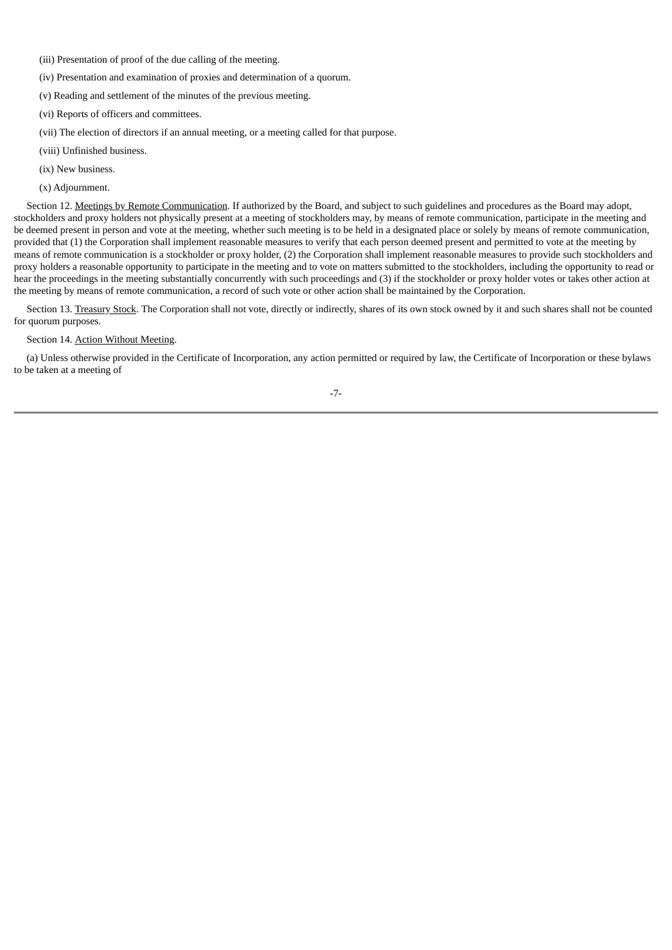- (iii) Presentation of proof of the due calling of the meeting.
- (iv) Presentation and examination of proxies and determination of a quorum.
- (v) Reading and settlement of the minutes of the previous meeting.
- (vi) Reports of officers and committees.
- (vii) The election of directors if an annual meeting, or a meeting called for that purpose.
- (viii) Unfinished business.
- (ix) New business.
- (x) Adjournment.

Section 12. Meetings by Remote Communication. If authorized by the Board, and subject to such guidelines and procedures as the Board may adopt, stockholders and proxy holders not physically present at a meeting of stockholders may, by means of remote communication, participate in the meeting and be deemed present in person and vote at the meeting, whether such meeting is to be held in a designated place or solely by means of remote communication, provided that (1) the Corporation shall implement reasonable measures to verify that each person deemed present and permitted to vote at the meeting by means of remote communication is a stockholder or proxy holder, (2) the Corporation shall implement reasonable measures to provide such stockholders and proxy holders a reasonable opportunity to participate in the meeting and to vote on matters submitted to the stockholders, including the opportunity to read or hear the proceedings in the meeting substantially concurrently with such proceedings and (3) if the stockholder or proxy holder votes or takes other action at the meeting by means of remote communication, a record of such vote or other action shall be maintained by the Corporation.

Section 13. Treasury Stock. The Corporation shall not vote, directly or indirectly, shares of its own stock owned by it and such shares shall not be counted for quorum purposes.

# Section 14. Action Without Meeting.

(a) Unless otherwise provided in the Certificate of Incorporation, any action permitted or required by law, the Certificate of Incorporation or these bylaws to be taken at a meeting of

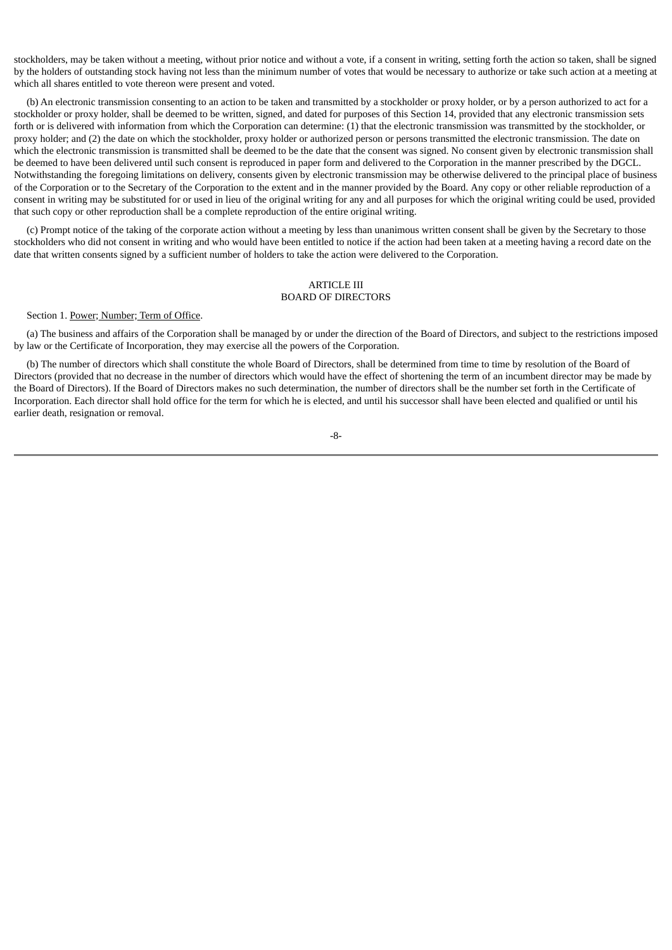stockholders, may be taken without a meeting, without prior notice and without a vote, if a consent in writing, setting forth the action so taken, shall be signed by the holders of outstanding stock having not less than the minimum number of votes that would be necessary to authorize or take such action at a meeting at which all shares entitled to vote thereon were present and voted.

(b) An electronic transmission consenting to an action to be taken and transmitted by a stockholder or proxy holder, or by a person authorized to act for a stockholder or proxy holder, shall be deemed to be written, signed, and dated for purposes of this Section 14, provided that any electronic transmission sets forth or is delivered with information from which the Corporation can determine: (1) that the electronic transmission was transmitted by the stockholder, or proxy holder; and (2) the date on which the stockholder, proxy holder or authorized person or persons transmitted the electronic transmission. The date on which the electronic transmission is transmitted shall be deemed to be the date that the consent was signed. No consent given by electronic transmission shall be deemed to have been delivered until such consent is reproduced in paper form and delivered to the Corporation in the manner prescribed by the DGCL. Notwithstanding the foregoing limitations on delivery, consents given by electronic transmission may be otherwise delivered to the principal place of business of the Corporation or to the Secretary of the Corporation to the extent and in the manner provided by the Board. Any copy or other reliable reproduction of a consent in writing may be substituted for or used in lieu of the original writing for any and all purposes for which the original writing could be used, provided that such copy or other reproduction shall be a complete reproduction of the entire original writing.

(c) Prompt notice of the taking of the corporate action without a meeting by less than unanimous written consent shall be given by the Secretary to those stockholders who did not consent in writing and who would have been entitled to notice if the action had been taken at a meeting having a record date on the date that written consents signed by a sufficient number of holders to take the action were delivered to the Corporation.

## ARTICLE III BOARD OF DIRECTORS

## Section 1. Power; Number; Term of Office.

(a) The business and affairs of the Corporation shall be managed by or under the direction of the Board of Directors, and subject to the restrictions imposed by law or the Certificate of Incorporation, they may exercise all the powers of the Corporation.

(b) The number of directors which shall constitute the whole Board of Directors, shall be determined from time to time by resolution of the Board of Directors (provided that no decrease in the number of directors which would have the effect of shortening the term of an incumbent director may be made by the Board of Directors). If the Board of Directors makes no such determination, the number of directors shall be the number set forth in the Certificate of Incorporation. Each director shall hold office for the term for which he is elected, and until his successor shall have been elected and qualified or until his earlier death, resignation or removal.

-8-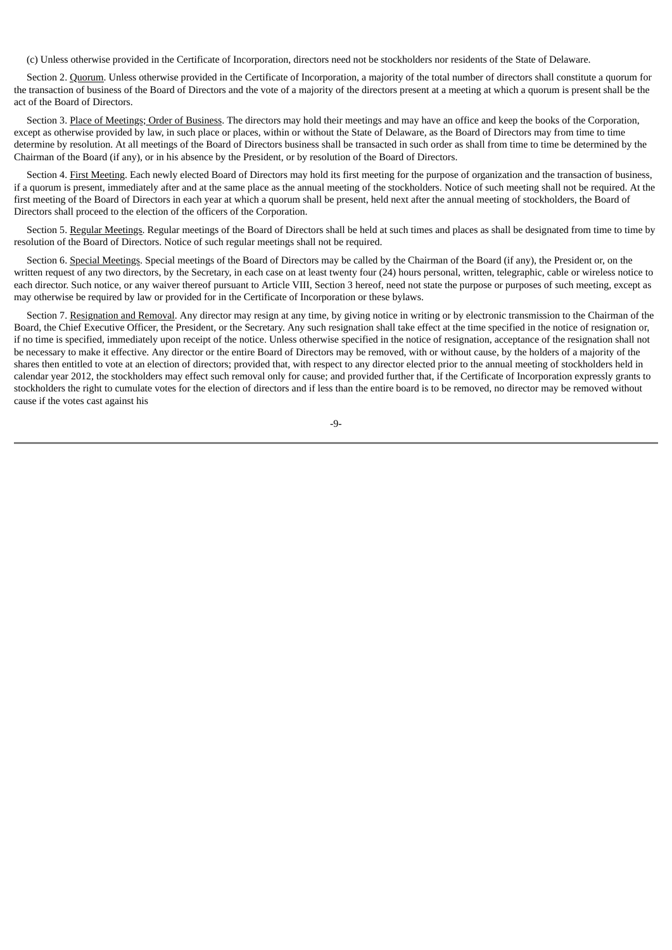(c) Unless otherwise provided in the Certificate of Incorporation, directors need not be stockholders nor residents of the State of Delaware.

Section 2. Quorum. Unless otherwise provided in the Certificate of Incorporation, a majority of the total number of directors shall constitute a quorum for the transaction of business of the Board of Directors and the vote of a majority of the directors present at a meeting at which a quorum is present shall be the act of the Board of Directors.

Section 3. Place of Meetings; Order of Business. The directors may hold their meetings and may have an office and keep the books of the Corporation, except as otherwise provided by law, in such place or places, within or without the State of Delaware, as the Board of Directors may from time to time determine by resolution. At all meetings of the Board of Directors business shall be transacted in such order as shall from time to time be determined by the Chairman of the Board (if any), or in his absence by the President, or by resolution of the Board of Directors.

Section 4. First Meeting. Each newly elected Board of Directors may hold its first meeting for the purpose of organization and the transaction of business, if a quorum is present, immediately after and at the same place as the annual meeting of the stockholders. Notice of such meeting shall not be required. At the first meeting of the Board of Directors in each year at which a quorum shall be present, held next after the annual meeting of stockholders, the Board of Directors shall proceed to the election of the officers of the Corporation.

Section 5. Regular Meetings. Regular meetings of the Board of Directors shall be held at such times and places as shall be designated from time to time by resolution of the Board of Directors. Notice of such regular meetings shall not be required.

Section 6. Special Meetings. Special meetings of the Board of Directors may be called by the Chairman of the Board (if any), the President or, on the written request of any two directors, by the Secretary, in each case on at least twenty four (24) hours personal, written, telegraphic, cable or wireless notice to each director. Such notice, or any waiver thereof pursuant to Article VIII, Section 3 hereof, need not state the purpose or purposes of such meeting, except as may otherwise be required by law or provided for in the Certificate of Incorporation or these bylaws.

Section 7. Resignation and Removal. Any director may resign at any time, by giving notice in writing or by electronic transmission to the Chairman of the Board, the Chief Executive Officer, the President, or the Secretary. Any such resignation shall take effect at the time specified in the notice of resignation or, if no time is specified, immediately upon receipt of the notice. Unless otherwise specified in the notice of resignation, acceptance of the resignation shall not be necessary to make it effective. Any director or the entire Board of Directors may be removed, with or without cause, by the holders of a majority of the shares then entitled to vote at an election of directors; provided that, with respect to any director elected prior to the annual meeting of stockholders held in calendar year 2012, the stockholders may effect such removal only for cause; and provided further that, if the Certificate of Incorporation expressly grants to stockholders the right to cumulate votes for the election of directors and if less than the entire board is to be removed, no director may be removed without cause if the votes cast against his

-9-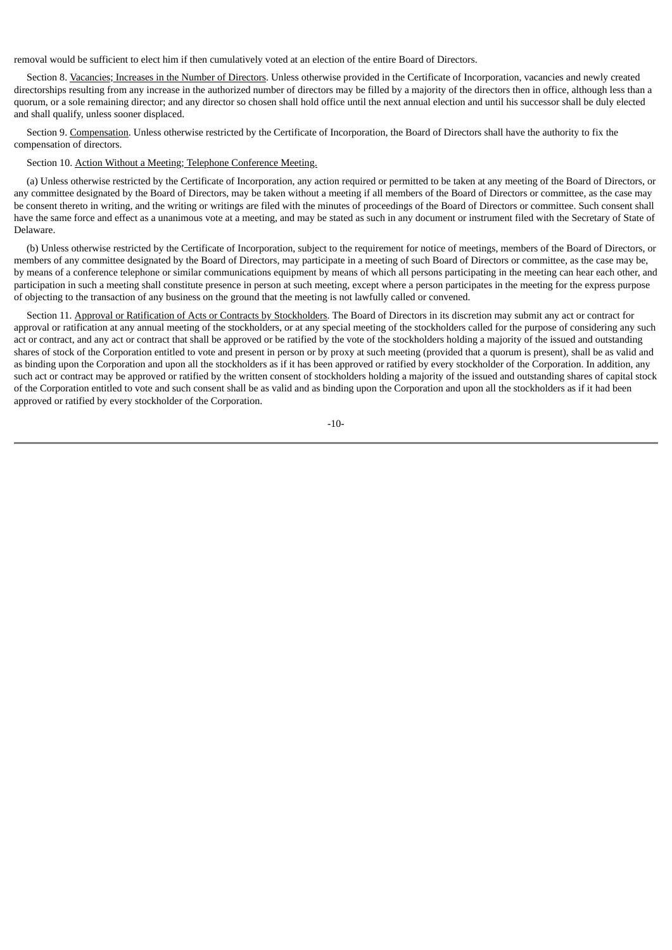removal would be sufficient to elect him if then cumulatively voted at an election of the entire Board of Directors.

Section 8. Vacancies; Increases in the Number of Directors. Unless otherwise provided in the Certificate of Incorporation, vacancies and newly created directorships resulting from any increase in the authorized number of directors may be filled by a majority of the directors then in office, although less than a quorum, or a sole remaining director; and any director so chosen shall hold office until the next annual election and until his successor shall be duly elected and shall qualify, unless sooner displaced.

Section 9. Compensation. Unless otherwise restricted by the Certificate of Incorporation, the Board of Directors shall have the authority to fix the compensation of directors.

#### Section 10. Action Without a Meeting; Telephone Conference Meeting.

(a) Unless otherwise restricted by the Certificate of Incorporation, any action required or permitted to be taken at any meeting of the Board of Directors, or any committee designated by the Board of Directors, may be taken without a meeting if all members of the Board of Directors or committee, as the case may be consent thereto in writing, and the writing or writings are filed with the minutes of proceedings of the Board of Directors or committee. Such consent shall have the same force and effect as a unanimous vote at a meeting, and may be stated as such in any document or instrument filed with the Secretary of State of Delaware.

(b) Unless otherwise restricted by the Certificate of Incorporation, subject to the requirement for notice of meetings, members of the Board of Directors, or members of any committee designated by the Board of Directors, may participate in a meeting of such Board of Directors or committee, as the case may be, by means of a conference telephone or similar communications equipment by means of which all persons participating in the meeting can hear each other, and participation in such a meeting shall constitute presence in person at such meeting, except where a person participates in the meeting for the express purpose of objecting to the transaction of any business on the ground that the meeting is not lawfully called or convened.

Section 11. Approval or Ratification of Acts or Contracts by Stockholders. The Board of Directors in its discretion may submit any act or contract for approval or ratification at any annual meeting of the stockholders, or at any special meeting of the stockholders called for the purpose of considering any such act or contract, and any act or contract that shall be approved or be ratified by the vote of the stockholders holding a majority of the issued and outstanding shares of stock of the Corporation entitled to vote and present in person or by proxy at such meeting (provided that a quorum is present), shall be as valid and as binding upon the Corporation and upon all the stockholders as if it has been approved or ratified by every stockholder of the Corporation. In addition, any such act or contract may be approved or ratified by the written consent of stockholders holding a majority of the issued and outstanding shares of capital stock of the Corporation entitled to vote and such consent shall be as valid and as binding upon the Corporation and upon all the stockholders as if it had been approved or ratified by every stockholder of the Corporation.

$$
-10-
$$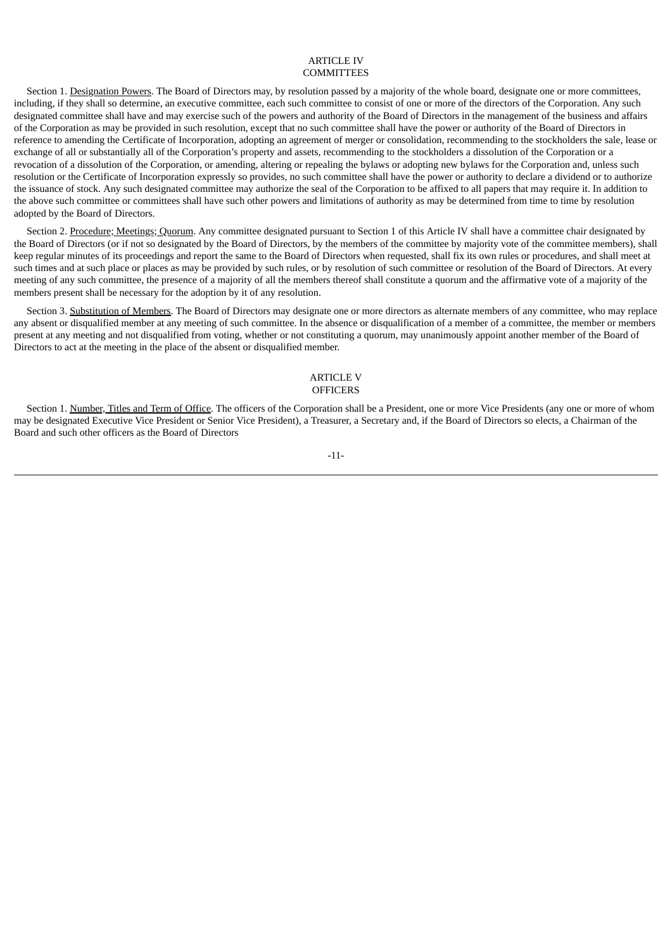## ARTICLE IV **COMMITTEES**

Section 1. Designation Powers. The Board of Directors may, by resolution passed by a majority of the whole board, designate one or more committees, including, if they shall so determine, an executive committee, each such committee to consist of one or more of the directors of the Corporation. Any such designated committee shall have and may exercise such of the powers and authority of the Board of Directors in the management of the business and affairs of the Corporation as may be provided in such resolution, except that no such committee shall have the power or authority of the Board of Directors in reference to amending the Certificate of Incorporation, adopting an agreement of merger or consolidation, recommending to the stockholders the sale, lease or exchange of all or substantially all of the Corporation's property and assets, recommending to the stockholders a dissolution of the Corporation or a revocation of a dissolution of the Corporation, or amending, altering or repealing the bylaws or adopting new bylaws for the Corporation and, unless such resolution or the Certificate of Incorporation expressly so provides, no such committee shall have the power or authority to declare a dividend or to authorize the issuance of stock. Any such designated committee may authorize the seal of the Corporation to be affixed to all papers that may require it. In addition to the above such committee or committees shall have such other powers and limitations of authority as may be determined from time to time by resolution adopted by the Board of Directors.

Section 2. Procedure; Meetings; Quorum. Any committee designated pursuant to Section 1 of this Article IV shall have a committee chair designated by the Board of Directors (or if not so designated by the Board of Directors, by the members of the committee by majority vote of the committee members), shall keep regular minutes of its proceedings and report the same to the Board of Directors when requested, shall fix its own rules or procedures, and shall meet at such times and at such place or places as may be provided by such rules, or by resolution of such committee or resolution of the Board of Directors. At every meeting of any such committee, the presence of a majority of all the members thereof shall constitute a quorum and the affirmative vote of a majority of the members present shall be necessary for the adoption by it of any resolution.

Section 3. Substitution of Members. The Board of Directors may designate one or more directors as alternate members of any committee, who may replace any absent or disqualified member at any meeting of such committee. In the absence or disqualification of a member of a committee, the member or members present at any meeting and not disqualified from voting, whether or not constituting a quorum, may unanimously appoint another member of the Board of Directors to act at the meeting in the place of the absent or disqualified member.

## ARTICLE V **OFFICERS**

Section 1. Number, Titles and Term of Office. The officers of the Corporation shall be a President, one or more Vice Presidents (any one or more of whom may be designated Executive Vice President or Senior Vice President), a Treasurer, a Secretary and, if the Board of Directors so elects, a Chairman of the Board and such other officers as the Board of Directors

# -11-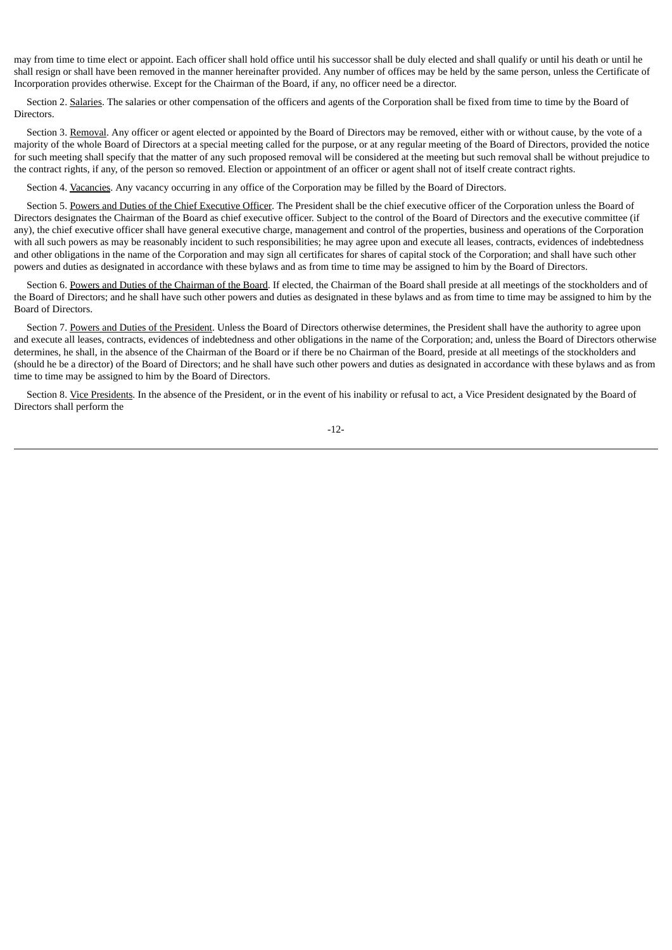may from time to time elect or appoint. Each officer shall hold office until his successor shall be duly elected and shall qualify or until his death or until he shall resign or shall have been removed in the manner hereinafter provided. Any number of offices may be held by the same person, unless the Certificate of Incorporation provides otherwise. Except for the Chairman of the Board, if any, no officer need be a director.

Section 2. Salaries. The salaries or other compensation of the officers and agents of the Corporation shall be fixed from time to time by the Board of **Directors** 

Section 3. Removal. Any officer or agent elected or appointed by the Board of Directors may be removed, either with or without cause, by the vote of a majority of the whole Board of Directors at a special meeting called for the purpose, or at any regular meeting of the Board of Directors, provided the notice for such meeting shall specify that the matter of any such proposed removal will be considered at the meeting but such removal shall be without prejudice to the contract rights, if any, of the person so removed. Election or appointment of an officer or agent shall not of itself create contract rights.

Section 4. Vacancies. Any vacancy occurring in any office of the Corporation may be filled by the Board of Directors.

Section 5. Powers and Duties of the Chief Executive Officer. The President shall be the chief executive officer of the Corporation unless the Board of Directors designates the Chairman of the Board as chief executive officer. Subject to the control of the Board of Directors and the executive committee (if any), the chief executive officer shall have general executive charge, management and control of the properties, business and operations of the Corporation with all such powers as may be reasonably incident to such responsibilities; he may agree upon and execute all leases, contracts, evidences of indebtedness and other obligations in the name of the Corporation and may sign all certificates for shares of capital stock of the Corporation; and shall have such other powers and duties as designated in accordance with these bylaws and as from time to time may be assigned to him by the Board of Directors.

Section 6. Powers and Duties of the Chairman of the Board. If elected, the Chairman of the Board shall preside at all meetings of the stockholders and of the Board of Directors; and he shall have such other powers and duties as designated in these bylaws and as from time to time may be assigned to him by the Board of Directors.

Section 7. Powers and Duties of the President. Unless the Board of Directors otherwise determines, the President shall have the authority to agree upon and execute all leases, contracts, evidences of indebtedness and other obligations in the name of the Corporation; and, unless the Board of Directors otherwise determines, he shall, in the absence of the Chairman of the Board or if there be no Chairman of the Board, preside at all meetings of the stockholders and (should he be a director) of the Board of Directors; and he shall have such other powers and duties as designated in accordance with these bylaws and as from time to time may be assigned to him by the Board of Directors.

Section 8. Vice Presidents. In the absence of the President, or in the event of his inability or refusal to act, a Vice President designated by the Board of Directors shall perform the

-12-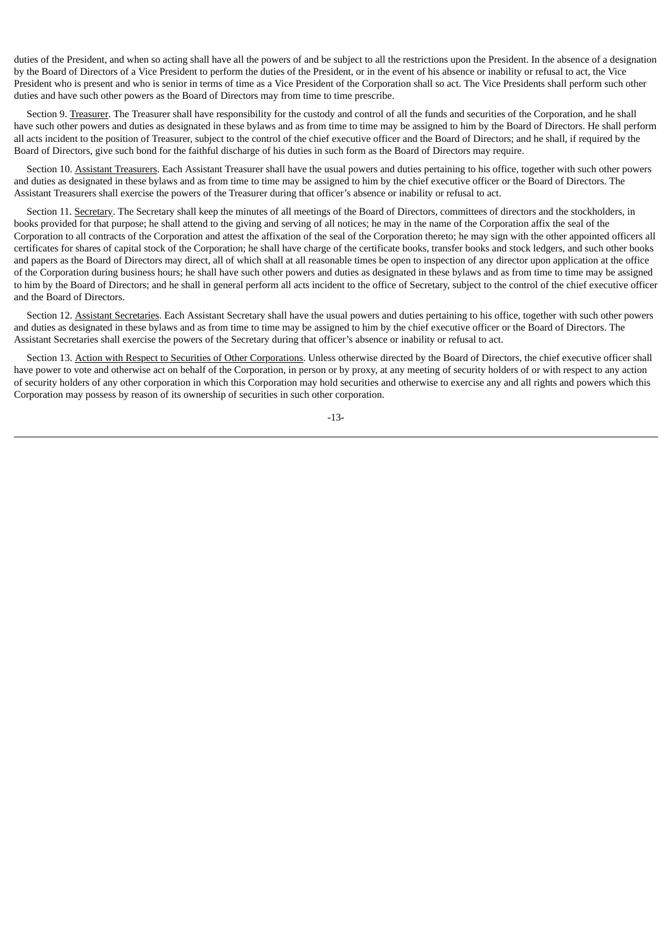duties of the President, and when so acting shall have all the powers of and be subject to all the restrictions upon the President. In the absence of a designation by the Board of Directors of a Vice President to perform the duties of the President, or in the event of his absence or inability or refusal to act, the Vice President who is present and who is senior in terms of time as a Vice President of the Corporation shall so act. The Vice Presidents shall perform such other duties and have such other powers as the Board of Directors may from time to time prescribe.

Section 9. Treasurer. The Treasurer shall have responsibility for the custody and control of all the funds and securities of the Corporation, and he shall have such other powers and duties as designated in these bylaws and as from time to time may be assigned to him by the Board of Directors. He shall perform all acts incident to the position of Treasurer, subject to the control of the chief executive officer and the Board of Directors; and he shall, if required by the Board of Directors, give such bond for the faithful discharge of his duties in such form as the Board of Directors may require.

Section 10. Assistant Treasurers. Each Assistant Treasurer shall have the usual powers and duties pertaining to his office, together with such other powers and duties as designated in these bylaws and as from time to time may be assigned to him by the chief executive officer or the Board of Directors. The Assistant Treasurers shall exercise the powers of the Treasurer during that officer's absence or inability or refusal to act.

Section 11. Secretary. The Secretary shall keep the minutes of all meetings of the Board of Directors, committees of directors and the stockholders, in books provided for that purpose; he shall attend to the giving and serving of all notices; he may in the name of the Corporation affix the seal of the Corporation to all contracts of the Corporation and attest the affixation of the seal of the Corporation thereto; he may sign with the other appointed officers all certificates for shares of capital stock of the Corporation; he shall have charge of the certificate books, transfer books and stock ledgers, and such other books and papers as the Board of Directors may direct, all of which shall at all reasonable times be open to inspection of any director upon application at the office of the Corporation during business hours; he shall have such other powers and duties as designated in these bylaws and as from time to time may be assigned to him by the Board of Directors; and he shall in general perform all acts incident to the office of Secretary, subject to the control of the chief executive officer and the Board of Directors.

Section 12. Assistant Secretaries. Each Assistant Secretary shall have the usual powers and duties pertaining to his office, together with such other powers and duties as designated in these bylaws and as from time to time may be assigned to him by the chief executive officer or the Board of Directors. The Assistant Secretaries shall exercise the powers of the Secretary during that officer's absence or inability or refusal to act.

Section 13. Action with Respect to Securities of Other Corporations. Unless otherwise directed by the Board of Directors, the chief executive officer shall have power to vote and otherwise act on behalf of the Corporation, in person or by proxy, at any meeting of security holders of or with respect to any action of security holders of any other corporation in which this Corporation may hold securities and otherwise to exercise any and all rights and powers which this Corporation may possess by reason of its ownership of securities in such other corporation.

-13-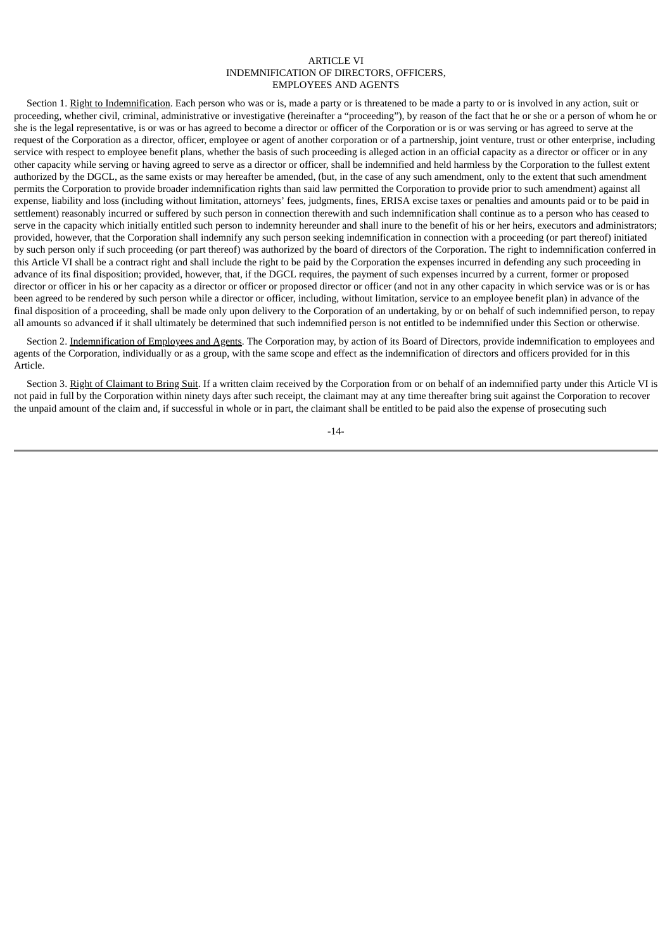## ARTICLE VI INDEMNIFICATION OF DIRECTORS, OFFICERS, EMPLOYEES AND AGENTS

Section 1. Right to Indemnification. Each person who was or is, made a party or is threatened to be made a party to or is involved in any action, suit or proceeding, whether civil, criminal, administrative or investigative (hereinafter a "proceeding"), by reason of the fact that he or she or a person of whom he or she is the legal representative, is or was or has agreed to become a director or officer of the Corporation or is or was serving or has agreed to serve at the request of the Corporation as a director, officer, employee or agent of another corporation or of a partnership, joint venture, trust or other enterprise, including service with respect to employee benefit plans, whether the basis of such proceeding is alleged action in an official capacity as a director or officer or in any other capacity while serving or having agreed to serve as a director or officer, shall be indemnified and held harmless by the Corporation to the fullest extent authorized by the DGCL, as the same exists or may hereafter be amended, (but, in the case of any such amendment, only to the extent that such amendment permits the Corporation to provide broader indemnification rights than said law permitted the Corporation to provide prior to such amendment) against all expense, liability and loss (including without limitation, attorneys' fees, judgments, fines, ERISA excise taxes or penalties and amounts paid or to be paid in settlement) reasonably incurred or suffered by such person in connection therewith and such indemnification shall continue as to a person who has ceased to serve in the capacity which initially entitled such person to indemnity hereunder and shall inure to the benefit of his or her heirs, executors and administrators; provided, however, that the Corporation shall indemnify any such person seeking indemnification in connection with a proceeding (or part thereof) initiated by such person only if such proceeding (or part thereof) was authorized by the board of directors of the Corporation. The right to indemnification conferred in this Article VI shall be a contract right and shall include the right to be paid by the Corporation the expenses incurred in defending any such proceeding in advance of its final disposition; provided, however, that, if the DGCL requires, the payment of such expenses incurred by a current, former or proposed director or officer in his or her capacity as a director or officer or proposed director or officer (and not in any other capacity in which service was or is or has been agreed to be rendered by such person while a director or officer, including, without limitation, service to an employee benefit plan) in advance of the final disposition of a proceeding, shall be made only upon delivery to the Corporation of an undertaking, by or on behalf of such indemnified person, to repay all amounts so advanced if it shall ultimately be determined that such indemnified person is not entitled to be indemnified under this Section or otherwise.

Section 2. Indemnification of Employees and Agents. The Corporation may, by action of its Board of Directors, provide indemnification to employees and agents of the Corporation, individually or as a group, with the same scope and effect as the indemnification of directors and officers provided for in this Article.

Section 3. Right of Claimant to Bring Suit. If a written claim received by the Corporation from or on behalf of an indemnified party under this Article VI is not paid in full by the Corporation within ninety days after such receipt, the claimant may at any time thereafter bring suit against the Corporation to recover the unpaid amount of the claim and, if successful in whole or in part, the claimant shall be entitled to be paid also the expense of prosecuting such

-14-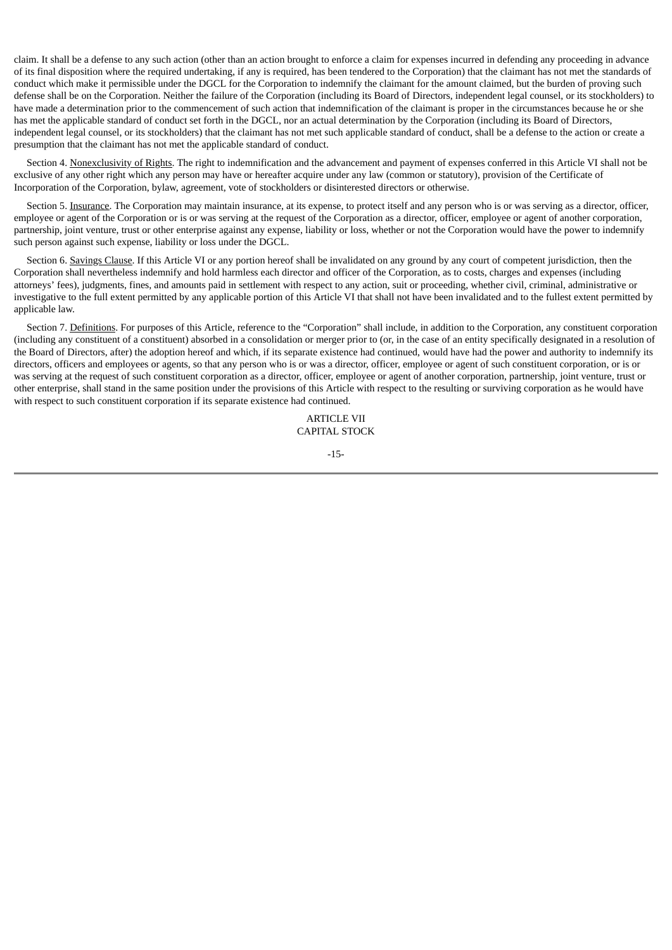claim. It shall be a defense to any such action (other than an action brought to enforce a claim for expenses incurred in defending any proceeding in advance of its final disposition where the required undertaking, if any is required, has been tendered to the Corporation) that the claimant has not met the standards of conduct which make it permissible under the DGCL for the Corporation to indemnify the claimant for the amount claimed, but the burden of proving such defense shall be on the Corporation. Neither the failure of the Corporation (including its Board of Directors, independent legal counsel, or its stockholders) to have made a determination prior to the commencement of such action that indemnification of the claimant is proper in the circumstances because he or she has met the applicable standard of conduct set forth in the DGCL, nor an actual determination by the Corporation (including its Board of Directors, independent legal counsel, or its stockholders) that the claimant has not met such applicable standard of conduct, shall be a defense to the action or create a presumption that the claimant has not met the applicable standard of conduct.

Section 4. Nonexclusivity of Rights. The right to indemnification and the advancement and payment of expenses conferred in this Article VI shall not be exclusive of any other right which any person may have or hereafter acquire under any law (common or statutory), provision of the Certificate of Incorporation of the Corporation, bylaw, agreement, vote of stockholders or disinterested directors or otherwise.

Section 5. Insurance. The Corporation may maintain insurance, at its expense, to protect itself and any person who is or was serving as a director, officer, employee or agent of the Corporation or is or was serving at the request of the Corporation as a director, officer, employee or agent of another corporation, partnership, joint venture, trust or other enterprise against any expense, liability or loss, whether or not the Corporation would have the power to indemnify such person against such expense, liability or loss under the DGCL.

Section 6. Savings Clause. If this Article VI or any portion hereof shall be invalidated on any ground by any court of competent jurisdiction, then the Corporation shall nevertheless indemnify and hold harmless each director and officer of the Corporation, as to costs, charges and expenses (including attorneys' fees), judgments, fines, and amounts paid in settlement with respect to any action, suit or proceeding, whether civil, criminal, administrative or investigative to the full extent permitted by any applicable portion of this Article VI that shall not have been invalidated and to the fullest extent permitted by applicable law.

Section 7. Definitions. For purposes of this Article, reference to the "Corporation" shall include, in addition to the Corporation, any constituent corporation (including any constituent of a constituent) absorbed in a consolidation or merger prior to (or, in the case of an entity specifically designated in a resolution of the Board of Directors, after) the adoption hereof and which, if its separate existence had continued, would have had the power and authority to indemnify its directors, officers and employees or agents, so that any person who is or was a director, officer, employee or agent of such constituent corporation, or is or was serving at the request of such constituent corporation as a director, officer, employee or agent of another corporation, partnership, joint venture, trust or other enterprise, shall stand in the same position under the provisions of this Article with respect to the resulting or surviving corporation as he would have with respect to such constituent corporation if its separate existence had continued.

> ARTICLE VII CAPITAL STOCK

> > -15-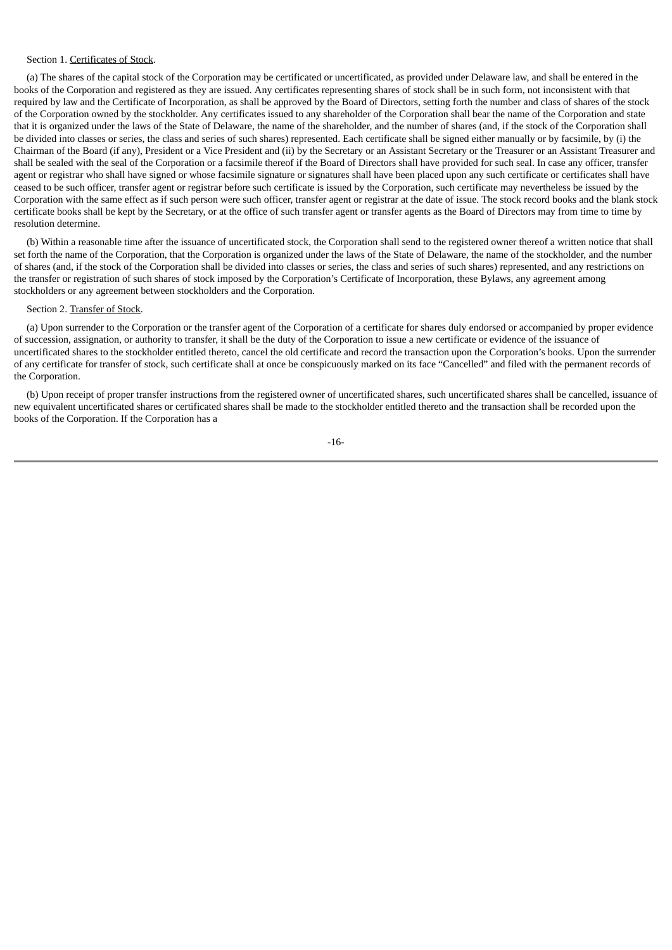## Section 1. Certificates of Stock.

(a) The shares of the capital stock of the Corporation may be certificated or uncertificated, as provided under Delaware law, and shall be entered in the books of the Corporation and registered as they are issued. Any certificates representing shares of stock shall be in such form, not inconsistent with that required by law and the Certificate of Incorporation, as shall be approved by the Board of Directors, setting forth the number and class of shares of the stock of the Corporation owned by the stockholder. Any certificates issued to any shareholder of the Corporation shall bear the name of the Corporation and state that it is organized under the laws of the State of Delaware, the name of the shareholder, and the number of shares (and, if the stock of the Corporation shall be divided into classes or series, the class and series of such shares) represented. Each certificate shall be signed either manually or by facsimile, by (i) the Chairman of the Board (if any), President or a Vice President and (ii) by the Secretary or an Assistant Secretary or the Treasurer or an Assistant Treasurer and shall be sealed with the seal of the Corporation or a facsimile thereof if the Board of Directors shall have provided for such seal. In case any officer, transfer agent or registrar who shall have signed or whose facsimile signature or signatures shall have been placed upon any such certificate or certificates shall have ceased to be such officer, transfer agent or registrar before such certificate is issued by the Corporation, such certificate may nevertheless be issued by the Corporation with the same effect as if such person were such officer, transfer agent or registrar at the date of issue. The stock record books and the blank stock certificate books shall be kept by the Secretary, or at the office of such transfer agent or transfer agents as the Board of Directors may from time to time by resolution determine.

(b) Within a reasonable time after the issuance of uncertificated stock, the Corporation shall send to the registered owner thereof a written notice that shall set forth the name of the Corporation, that the Corporation is organized under the laws of the State of Delaware, the name of the stockholder, and the number of shares (and, if the stock of the Corporation shall be divided into classes or series, the class and series of such shares) represented, and any restrictions on the transfer or registration of such shares of stock imposed by the Corporation's Certificate of Incorporation, these Bylaws, any agreement among stockholders or any agreement between stockholders and the Corporation.

#### Section 2. Transfer of Stock.

(a) Upon surrender to the Corporation or the transfer agent of the Corporation of a certificate for shares duly endorsed or accompanied by proper evidence of succession, assignation, or authority to transfer, it shall be the duty of the Corporation to issue a new certificate or evidence of the issuance of uncertificated shares to the stockholder entitled thereto, cancel the old certificate and record the transaction upon the Corporation's books. Upon the surrender of any certificate for transfer of stock, such certificate shall at once be conspicuously marked on its face "Cancelled" and filed with the permanent records of the Corporation.

(b) Upon receipt of proper transfer instructions from the registered owner of uncertificated shares, such uncertificated shares shall be cancelled, issuance of new equivalent uncertificated shares or certificated shares shall be made to the stockholder entitled thereto and the transaction shall be recorded upon the books of the Corporation. If the Corporation has a

-16-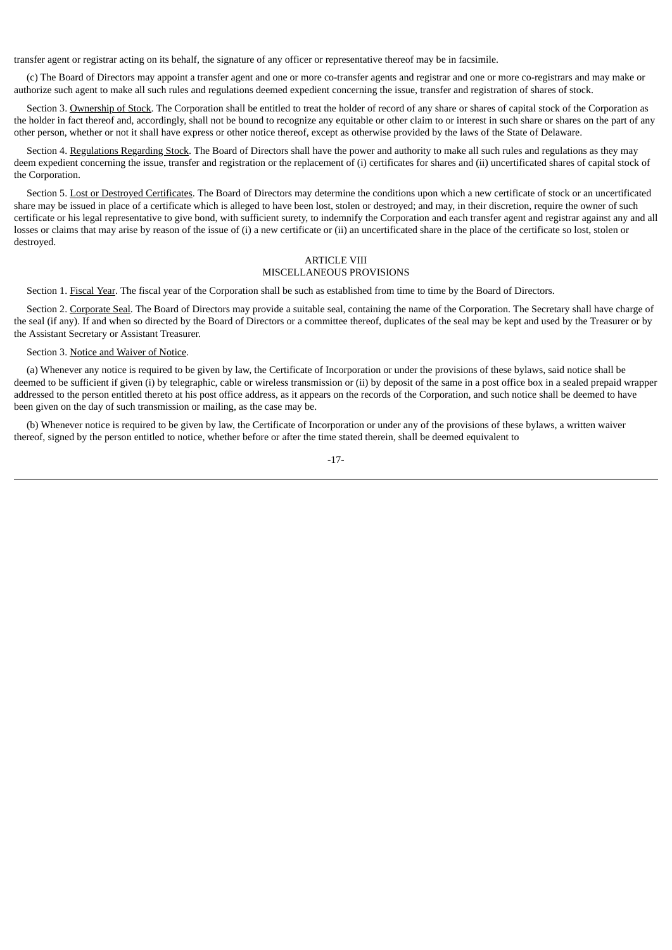transfer agent or registrar acting on its behalf, the signature of any officer or representative thereof may be in facsimile.

(c) The Board of Directors may appoint a transfer agent and one or more co-transfer agents and registrar and one or more co-registrars and may make or authorize such agent to make all such rules and regulations deemed expedient concerning the issue, transfer and registration of shares of stock.

Section 3. Ownership of Stock. The Corporation shall be entitled to treat the holder of record of any share or shares of capital stock of the Corporation as the holder in fact thereof and, accordingly, shall not be bound to recognize any equitable or other claim to or interest in such share or shares on the part of any other person, whether or not it shall have express or other notice thereof, except as otherwise provided by the laws of the State of Delaware.

Section 4. Regulations Regarding Stock. The Board of Directors shall have the power and authority to make all such rules and regulations as they may deem expedient concerning the issue, transfer and registration or the replacement of (i) certificates for shares and (ii) uncertificated shares of capital stock of the Corporation.

Section 5. Lost or Destroyed Certificates. The Board of Directors may determine the conditions upon which a new certificate of stock or an uncertificated share may be issued in place of a certificate which is alleged to have been lost, stolen or destroyed; and may, in their discretion, require the owner of such certificate or his legal representative to give bond, with sufficient surety, to indemnify the Corporation and each transfer agent and registrar against any and all losses or claims that may arise by reason of the issue of (i) a new certificate or (ii) an uncertificated share in the place of the certificate so lost, stolen or destroyed.

# ARTICLE VIII

# MISCELLANEOUS PROVISIONS

Section 1. Fiscal Year. The fiscal year of the Corporation shall be such as established from time to time by the Board of Directors.

Section 2. Corporate Seal. The Board of Directors may provide a suitable seal, containing the name of the Corporation. The Secretary shall have charge of the seal (if any). If and when so directed by the Board of Directors or a committee thereof, duplicates of the seal may be kept and used by the Treasurer or by the Assistant Secretary or Assistant Treasurer.

# Section 3. Notice and Waiver of Notice.

(a) Whenever any notice is required to be given by law, the Certificate of Incorporation or under the provisions of these bylaws, said notice shall be deemed to be sufficient if given (i) by telegraphic, cable or wireless transmission or (ii) by deposit of the same in a post office box in a sealed prepaid wrapper addressed to the person entitled thereto at his post office address, as it appears on the records of the Corporation, and such notice shall be deemed to have been given on the day of such transmission or mailing, as the case may be.

(b) Whenever notice is required to be given by law, the Certificate of Incorporation or under any of the provisions of these bylaws, a written waiver thereof, signed by the person entitled to notice, whether before or after the time stated therein, shall be deemed equivalent to

$$
-17-
$$